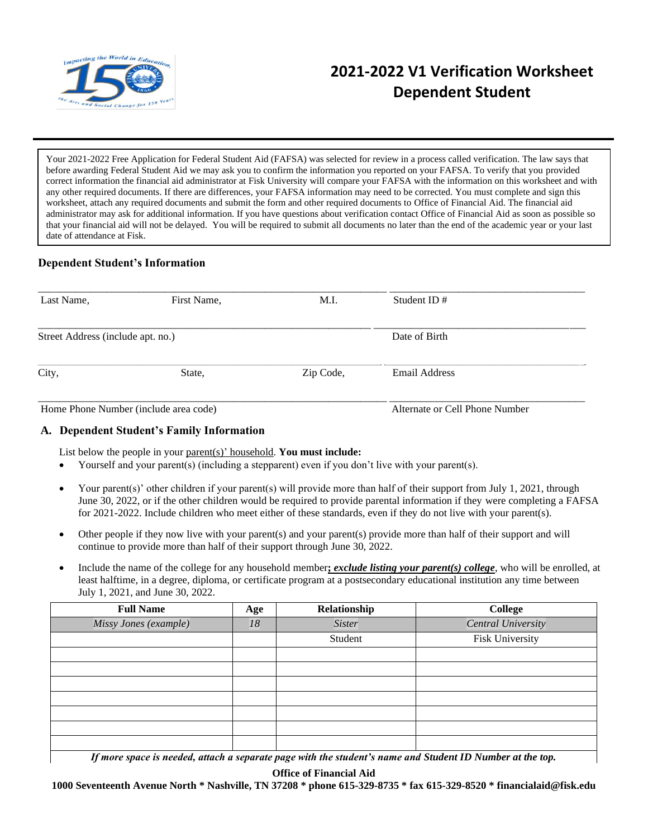

# **2021-2022 V1 Verification Worksheet Dependent Student**

Your 2021-2022 Free Application for Federal Student Aid (FAFSA) was selected for review in a process called verification. The law says that before awarding Federal Student Aid we may ask you to confirm the information you reported on your FAFSA. To verify that you provided correct information the financial aid administrator at Fisk University will compare your FAFSA with the information on this worksheet and with any other required documents. If there are differences, your FAFSA information may need to be corrected. You must complete and sign this worksheet, attach any required documents and submit the form and other required documents to Office of Financial Aid. The financial aid administrator may ask for additional information. If you have questions about verification contact Office of Financial Aid as soon as possible so that your financial aid will not be delayed. You will be required to submit all documents no later than the end of the academic year or your last date of attendance at Fisk.

# **Dependent Student's Information**

| Last Name,                            | First Name, | M.I.      | Student ID $#$                 |  |
|---------------------------------------|-------------|-----------|--------------------------------|--|
| Street Address (include apt. no.)     |             |           | Date of Birth                  |  |
| City,                                 | State,      | Zip Code, | <b>Email Address</b>           |  |
| Home Phone Number (include area code) |             |           | Alternate or Cell Phone Number |  |

### **A. Dependent Student's Family Information**

List below the people in your parent(s)' household. **You must include:**

- Yourself and your parent(s) (including a stepparent) even if you don't live with your parent(s).
- Your parent(s)' other children if your parent(s) will provide more than half of their support from July 1, 2021, through June 30, 2022, or if the other children would be required to provide parental information if they were completing a FAFSA for 2021-2022. Include children who meet either of these standards, even if they do not live with your parent(s).
- Other people if they now live with your parent(s) and your parent(s) provide more than half of their support and will continue to provide more than half of their support through June 30, 2022.
- Include the name of the college for any household member**;** *exclude listing your parent(s) college*, who will be enrolled, at least halftime, in a degree, diploma, or certificate program at a postsecondary educational institution any time between July 1, 2021, and June 30, 2022.

| <b>Full Name</b>                                                                                          | Age | Relationship  | College            |  |  |  |  |
|-----------------------------------------------------------------------------------------------------------|-----|---------------|--------------------|--|--|--|--|
| Missy Jones (example)                                                                                     | 18  | <b>Sister</b> | Central University |  |  |  |  |
|                                                                                                           |     | Student       | Fisk University    |  |  |  |  |
|                                                                                                           |     |               |                    |  |  |  |  |
|                                                                                                           |     |               |                    |  |  |  |  |
|                                                                                                           |     |               |                    |  |  |  |  |
|                                                                                                           |     |               |                    |  |  |  |  |
|                                                                                                           |     |               |                    |  |  |  |  |
|                                                                                                           |     |               |                    |  |  |  |  |
|                                                                                                           |     |               |                    |  |  |  |  |
| If more space is needed, attach a separate page with the student's name and Student ID Number at the top. |     |               |                    |  |  |  |  |

**Office of Financial Aid**

**1000 Seventeenth Avenue North \* Nashville, TN 37208 \* phone 615-329-8735 \* fax 615-329-8520 \* financialaid@fisk.edu**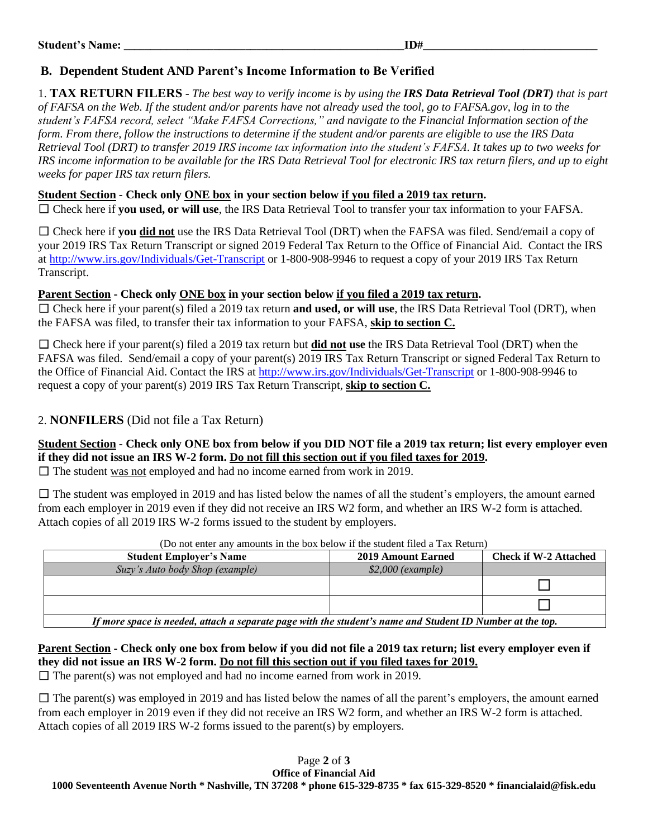# **B. Dependent Student AND Parent's Income Information to Be Verified**

1. **TAX RETURN FILERS** - *The best way to verify income is by using the IRS Data Retrieval Tool (DRT) that is part of FAFSA on the Web. If the student and/or parents have not already used the tool, go to FAFSA.gov, log in to the student's FAFSA record, select "Make FAFSA Corrections," and navigate to the Financial Information section of the form. From there, follow the instructions to determine if the student and/or parents are eligible to use the IRS Data Retrieval Tool (DRT) to transfer 2019 IRS income tax information into the student's FAFSA. It takes up to two weeks for IRS income information to be available for the IRS Data Retrieval Tool for electronic IRS tax return filers, and up to eight weeks for paper IRS tax return filers.*

# **Student Section - Check only ONE box in your section below if you filed a 2019 tax return.**

☐ Check here if **you used, or will use**, the IRS Data Retrieval Tool to transfer your tax information to your FAFSA.

☐ Check here if **you did not** use the IRS Data Retrieval Tool (DRT) when the FAFSA was filed. Send/email a copy of your 2019 IRS Tax Return Transcript or signed 2019 Federal Tax Return to the Office of Financial Aid. Contact the IRS at<http://www.irs.gov/Individuals/Get-Transcript> or 1-800-908-9946 to request a copy of your 2019 IRS Tax Return Transcript.

# **Parent Section - Check only ONE box in your section below if you filed a 2019 tax return.**

☐ Check here if your parent(s) filed a 2019 tax return **and used, or will use**, the IRS Data Retrieval Tool (DRT), when the FAFSA was filed, to transfer their tax information to your FAFSA, **skip to section C.**

☐ Check here if your parent(s) filed a 2019 tax return but **did not use** the IRS Data Retrieval Tool (DRT) when the FAFSA was filed. Send/email a copy of your parent(s) 2019 IRS Tax Return Transcript or signed Federal Tax Return to the Office of Financial Aid. Contact the IRS at<http://www.irs.gov/Individuals/Get-Transcript> or 1-800-908-9946 to request a copy of your parent(s) 2019 IRS Tax Return Transcript, **skip to section C.**

# 2. **NONFILERS** (Did not file a Tax Return)

**Student Section - Check only ONE box from below if you DID NOT file a 2019 tax return; list every employer even if they did not issue an IRS W-2 form. Do not fill this section out if you filed taxes for 2019.**

 $\Box$  The student was not employed and had no income earned from work in 2019.

 $\Box$  The student was employed in 2019 and has listed below the names of all the student's employers, the amount earned from each employer in 2019 even if they did not receive an IRS W2 form, and whether an IRS W-2 form is attached. Attach copies of all 2019 IRS W-2 forms issued to the student by employers.

| гэл нэг оног ант англана нг нь бол богот н аю жааснг нгэд н тал толанг                                    |                    |                              |  |  |  |  |
|-----------------------------------------------------------------------------------------------------------|--------------------|------------------------------|--|--|--|--|
| <b>Student Employer's Name</b>                                                                            | 2019 Amount Earned | <b>Check if W-2 Attached</b> |  |  |  |  |
| Suzy's Auto body Shop (example)                                                                           | $$2,000$ (example) |                              |  |  |  |  |
|                                                                                                           |                    |                              |  |  |  |  |
|                                                                                                           |                    |                              |  |  |  |  |
| If more space is needed, attach a separate page with the student's name and Student ID Number at the top. |                    |                              |  |  |  |  |

### (Do not enter any amounts in the box below if the student filed a Tax Return)

*If more space is needed, attach a separate page with the student's name and Student ID Number at the top.*

**Parent Section - Check only one box from below if you did not file a 2019 tax return; list every employer even if they did not issue an IRS W-2 form. Do not fill this section out if you filed taxes for 2019.**

 $\Box$  The parent(s) was not employed and had no income earned from work in 2019.

 $\Box$  The parent(s) was employed in 2019 and has listed below the names of all the parent's employers, the amount earned from each employer in 2019 even if they did not receive an IRS W2 form, and whether an IRS W-2 form is attached. Attach copies of all 2019 IRS W-2 forms issued to the parent(s) by employers.